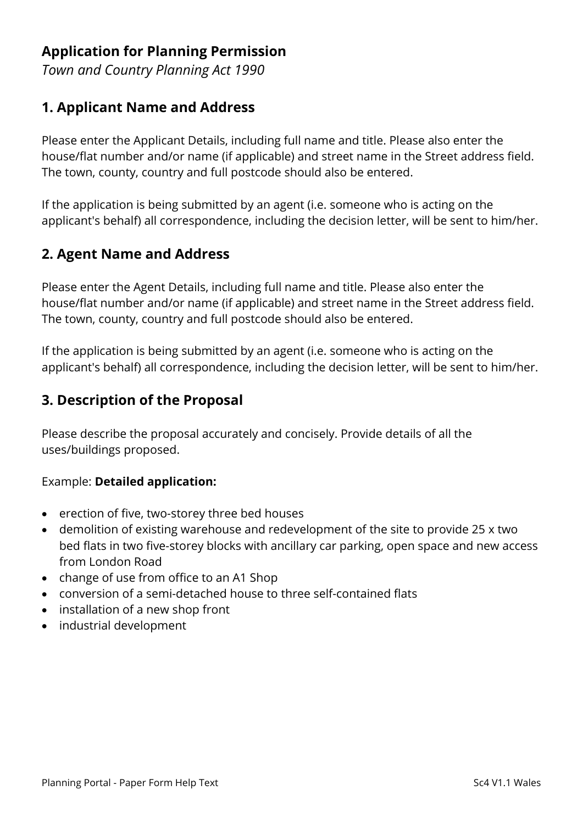# **Application for Planning Permission**

*Town and Country Planning Act 1990*

### **1. Applicant Name and Address**

Please enter the Applicant Details, including full name and title. Please also enter the house/flat number and/or name (if applicable) and street name in the Street address field. The town, county, country and full postcode should also be entered.

If the application is being submitted by an agent (i.e. someone who is acting on the applicant's behalf) all correspondence, including the decision letter, will be sent to him/her.

### **2. Agent Name and Address**

Please enter the Agent Details, including full name and title. Please also enter the house/flat number and/or name (if applicable) and street name in the Street address field. The town, county, country and full postcode should also be entered.

If the application is being submitted by an agent (i.e. someone who is acting on the applicant's behalf) all correspondence, including the decision letter, will be sent to him/her.

### **3. Description of the Proposal**

Please describe the proposal accurately and concisely. Provide details of all the uses/buildings proposed.

#### Example: **Detailed application:**

- erection of five, two-storey three bed houses
- demolition of existing warehouse and redevelopment of the site to provide 25 x two bed flats in two five-storey blocks with ancillary car parking, open space and new access from London Road
- change of use from office to an A1 Shop
- conversion of a semi-detached house to three self-contained flats
- installation of a new shop front
- industrial development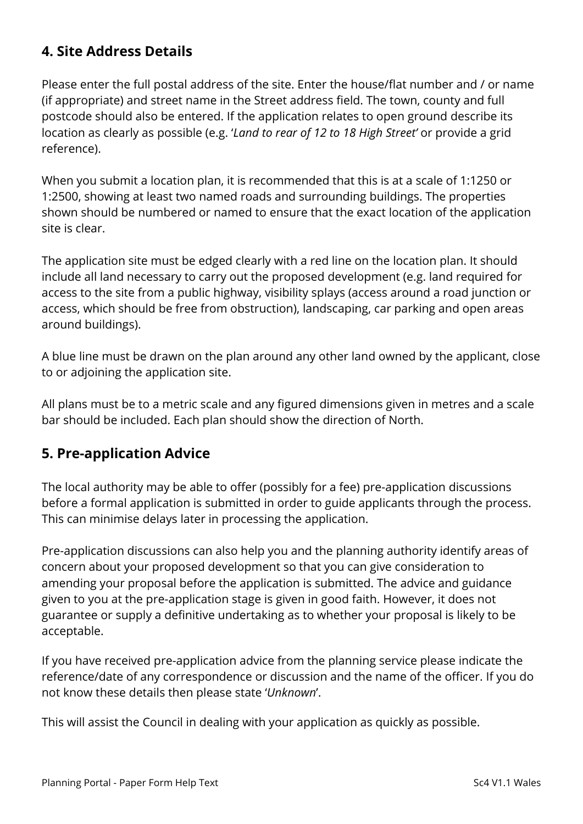# **4. Site Address Details**

Please enter the full postal address of the site. Enter the house/flat number and / or name (if appropriate) and street name in the Street address field. The town, county and full postcode should also be entered. If the application relates to open ground describe its location as clearly as possible (e.g. '*Land to rear of 12 to 18 High Street'* or provide a grid reference).

When you submit a location plan, it is recommended that this is at a scale of 1:1250 or 1:2500, showing at least two named roads and surrounding buildings. The properties shown should be numbered or named to ensure that the exact location of the application site is clear.

The application site must be edged clearly with a red line on the location plan. It should include all land necessary to carry out the proposed development (e.g. land required for access to the site from a public highway, visibility splays (access around a road junction or access, which should be free from obstruction), landscaping, car parking and open areas around buildings).

A blue line must be drawn on the plan around any other land owned by the applicant, close to or adjoining the application site.

All plans must be to a metric scale and any figured dimensions given in metres and a scale bar should be included. Each plan should show the direction of North.

### **5. Pre-application Advice**

The local authority may be able to offer (possibly for a fee) pre-application discussions before a formal application is submitted in order to guide applicants through the process. This can minimise delays later in processing the application.

Pre-application discussions can also help you and the planning authority identify areas of concern about your proposed development so that you can give consideration to amending your proposal before the application is submitted. The advice and guidance given to you at the pre-application stage is given in good faith. However, it does not guarantee or supply a definitive undertaking as to whether your proposal is likely to be acceptable.

If you have received pre-application advice from the planning service please indicate the reference/date of any correspondence or discussion and the name of the officer. If you do not know these details then please state '*Unknown*'.

This will assist the Council in dealing with your application as quickly as possible.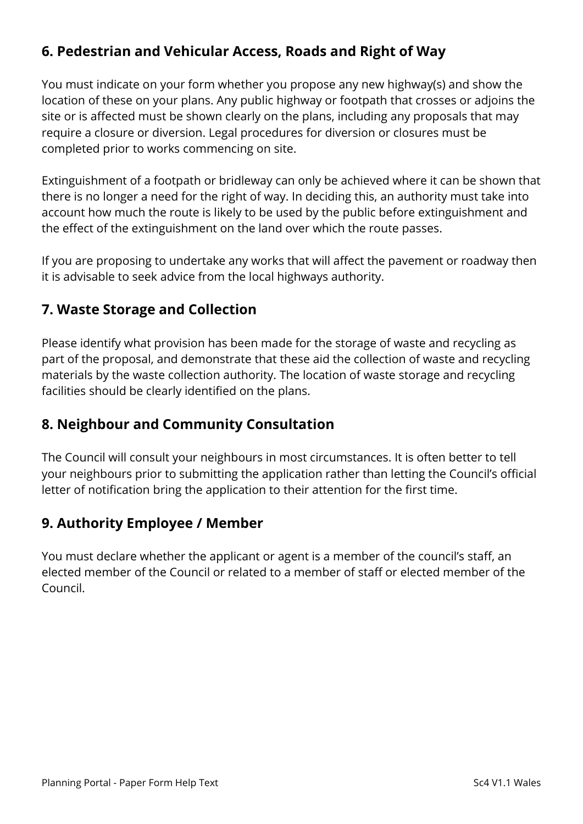# **6. Pedestrian and Vehicular Access, Roads and Right of Way**

You must indicate on your form whether you propose any new highway(s) and show the location of these on your plans. Any public highway or footpath that crosses or adjoins the site or is affected must be shown clearly on the plans, including any proposals that may require a closure or diversion. Legal procedures for diversion or closures must be completed prior to works commencing on site.

Extinguishment of a footpath or bridleway can only be achieved where it can be shown that there is no longer a need for the right of way. In deciding this, an authority must take into account how much the route is likely to be used by the public before extinguishment and the effect of the extinguishment on the land over which the route passes.

If you are proposing to undertake any works that will affect the pavement or roadway then it is advisable to seek advice from the local highways authority.

### **7. Waste Storage and Collection**

Please identify what provision has been made for the storage of waste and recycling as part of the proposal, and demonstrate that these aid the collection of waste and recycling materials by the waste collection authority. The location of waste storage and recycling facilities should be clearly identified on the plans.

### **8. Neighbour and Community Consultation**

The Council will consult your neighbours in most circumstances. It is often better to tell your neighbours prior to submitting the application rather than letting the Council's official letter of notification bring the application to their attention for the first time.

### **9. Authority Employee / Member**

You must declare whether the applicant or agent is a member of the council's staff, an elected member of the Council or related to a member of staff or elected member of the Council.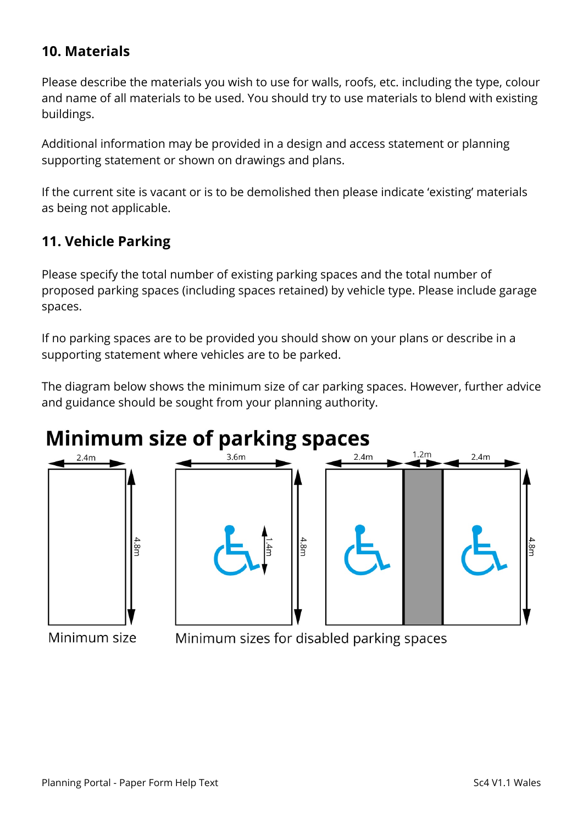# **10. Materials**

Please describe the materials you wish to use for walls, roofs, etc. including the type, colour and name of all materials to be used. You should try to use materials to blend with existing buildings.

Additional information may be provided in a design and access statement or planning supporting statement or shown on drawings and plans.

If the current site is vacant or is to be demolished then please indicate 'existing' materials as being not applicable.

### **11. Vehicle Parking**

Please specify the total number of existing parking spaces and the total number of proposed parking spaces (including spaces retained) by vehicle type. Please include garage spaces.

If no parking spaces are to be provided you should show on your plans or describe in a supporting statement where vehicles are to be parked.

The diagram below shows the minimum size of car parking spaces. However, further advice and guidance should be sought from your planning authority.

# **Minimum size of parking spaces**





Minimum size

Minimum sizes for disabled parking spaces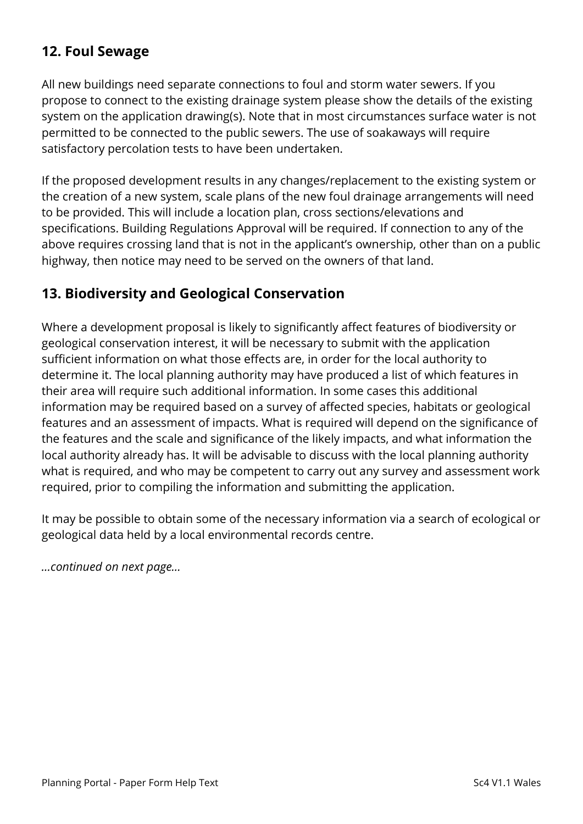# **12. Foul Sewage**

All new buildings need separate connections to foul and storm water sewers. If you propose to connect to the existing drainage system please show the details of the existing system on the application drawing(s). Note that in most circumstances surface water is not permitted to be connected to the public sewers. The use of soakaways will require satisfactory percolation tests to have been undertaken.

If the proposed development results in any changes/replacement to the existing system or the creation of a new system, scale plans of the new foul drainage arrangements will need to be provided. This will include a location plan, cross sections/elevations and specifications. Building Regulations Approval will be required. If connection to any of the above requires crossing land that is not in the applicant's ownership, other than on a public highway, then notice may need to be served on the owners of that land.

### **13. Biodiversity and Geological Conservation**

Where a development proposal is likely to significantly affect features of biodiversity or geological conservation interest, it will be necessary to submit with the application sufficient information on what those effects are, in order for the local authority to determine it. The local planning authority may have produced a list of which features in their area will require such additional information. In some cases this additional information may be required based on a survey of affected species, habitats or geological features and an assessment of impacts. What is required will depend on the significance of the features and the scale and significance of the likely impacts, and what information the local authority already has. It will be advisable to discuss with the local planning authority what is required, and who may be competent to carry out any survey and assessment work required, prior to compiling the information and submitting the application.

It may be possible to obtain some of the necessary information via a search of ecological or geological data held by a local environmental records centre.

*…continued on next page…*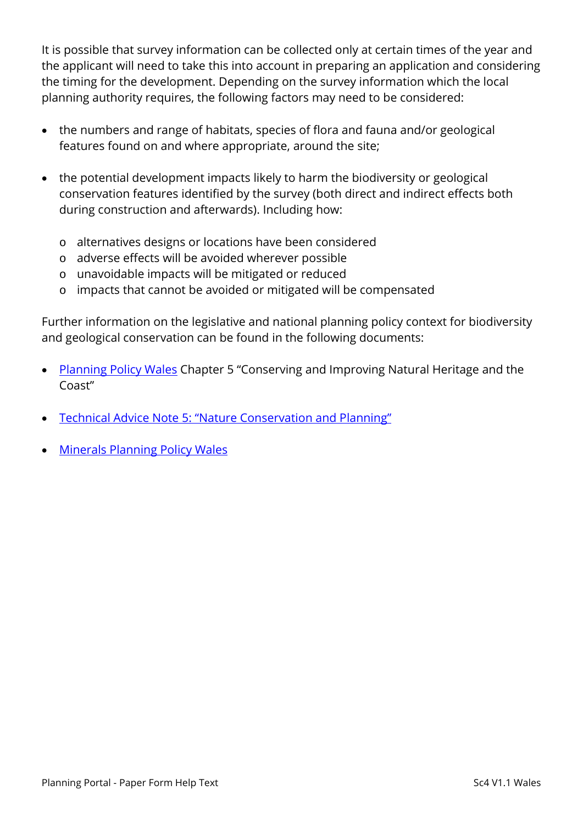It is possible that survey information can be collected only at certain times of the year and the applicant will need to take this into account in preparing an application and considering the timing for the development. Depending on the survey information which the local planning authority requires, the following factors may need to be considered:

- the numbers and range of habitats, species of flora and fauna and/or geological features found on and where appropriate, around the site;
- the potential development impacts likely to harm the biodiversity or geological conservation features identified by the survey (both direct and indirect effects both during construction and afterwards). Including how:
	- o alternatives designs or locations have been considered
	- o adverse effects will be avoided wherever possible
	- o unavoidable impacts will be mitigated or reduced
	- o impacts that cannot be avoided or mitigated will be compensated

Further information on the legislative and national planning policy context for biodiversity and geological conservation can be found in the following documents:

- [Planning Policy Wales](http://gov.wales/topics/planning/policy/ppw/?lang=en) Chapter 5 "Conserving and Improving Natural Heritage and the Coast"
- [Technical Advice Note 5: "Nature Conservation and Planning"](http://gov.wales/topics/planning/policy/tans/tan5/?lang=en)
- [Minerals Planning Policy Wales](http://gov.wales/topics/planning/policy/minerals/mineralsplanning/?lang=en)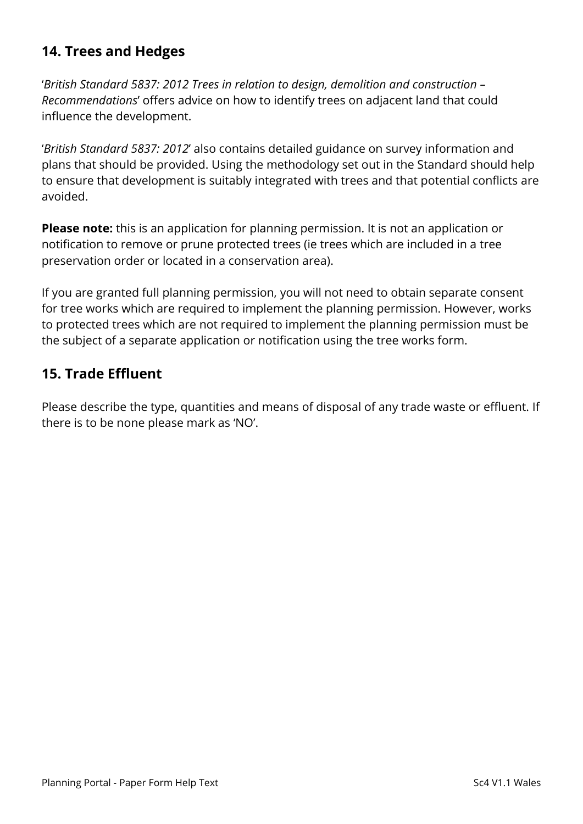# **14. Trees and Hedges**

'*British Standard 5837: 2012 Trees in relation to design, demolition and construction – Recommendations*' offers advice on how to identify trees on adjacent land that could influence the development.

'*British Standard 5837: 2012*' also contains detailed guidance on survey information and plans that should be provided. Using the methodology set out in the Standard should help to ensure that development is suitably integrated with trees and that potential conflicts are avoided.

**Please note:** this is an application for planning permission. It is not an application or notification to remove or prune protected trees (ie trees which are included in a tree preservation order or located in a conservation area).

If you are granted full planning permission, you will not need to obtain separate consent for tree works which are required to implement the planning permission. However, works to protected trees which are not required to implement the planning permission must be the subject of a separate application or notification using the tree works form.

# **15. Trade Effluent**

Please describe the type, quantities and means of disposal of any trade waste or effluent. If there is to be none please mark as 'NO'.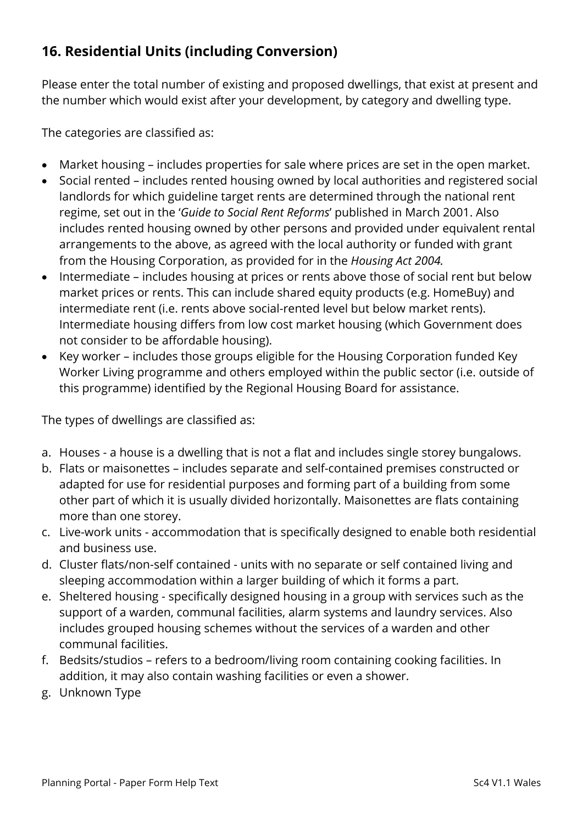# **16. Residential Units (including Conversion)**

Please enter the total number of existing and proposed dwellings, that exist at present and the number which would exist after your development, by category and dwelling type.

The categories are classified as:

- Market housing includes properties for sale where prices are set in the open market.
- Social rented includes rented housing owned by local authorities and registered social landlords for which guideline target rents are determined through the national rent regime, set out in the '*Guide to Social Rent Reforms*' published in March 2001. Also includes rented housing owned by other persons and provided under equivalent rental arrangements to the above, as agreed with the local authority or funded with grant from the Housing Corporation, as provided for in the *Housing Act 2004.*
- Intermediate includes housing at prices or rents above those of social rent but below market prices or rents. This can include shared equity products (e.g. HomeBuy) and intermediate rent (i.e. rents above social-rented level but below market rents). Intermediate housing differs from low cost market housing (which Government does not consider to be affordable housing).
- Key worker includes those groups eligible for the Housing Corporation funded Key Worker Living programme and others employed within the public sector (i.e. outside of this programme) identified by the Regional Housing Board for assistance.

The types of dwellings are classified as:

- a. Houses a house is a dwelling that is not a flat and includes single storey bungalows.
- b. Flats or maisonettes includes separate and self-contained premises constructed or adapted for use for residential purposes and forming part of a building from some other part of which it is usually divided horizontally. Maisonettes are flats containing more than one storey.
- c. Live-work units accommodation that is specifically designed to enable both residential and business use.
- d. Cluster flats/non-self contained units with no separate or self contained living and sleeping accommodation within a larger building of which it forms a part.
- e. Sheltered housing specifically designed housing in a group with services such as the support of a warden, communal facilities, alarm systems and laundry services. Also includes grouped housing schemes without the services of a warden and other communal facilities.
- f. Bedsits/studios refers to a bedroom/living room containing cooking facilities. In addition, it may also contain washing facilities or even a shower.
- g. Unknown Type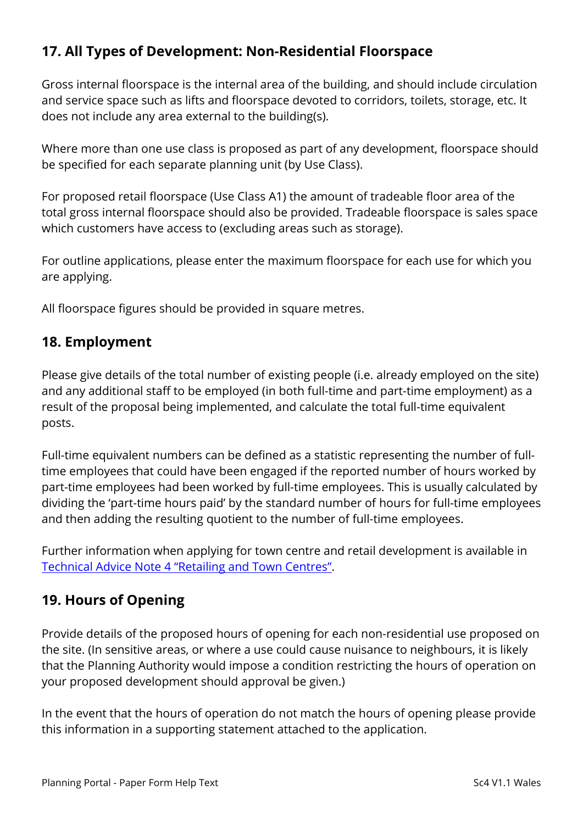# **17. All Types of Development: Non-Residential Floorspace**

Gross internal floorspace is the internal area of the building, and should include circulation and service space such as lifts and floorspace devoted to corridors, toilets, storage, etc. It does not include any area external to the building(s).

Where more than one use class is proposed as part of any development, floorspace should be specified for each separate planning unit (by Use Class).

For proposed retail floorspace (Use Class A1) the amount of tradeable floor area of the total gross internal floorspace should also be provided. Tradeable floorspace is sales space which customers have access to (excluding areas such as storage).

For outline applications, please enter the maximum floorspace for each use for which you are applying.

All floorspace figures should be provided in square metres.

### **18. Employment**

Please give details of the total number of existing people (i.e. already employed on the site) and any additional staff to be employed (in both full-time and part-time employment) as a result of the proposal being implemented, and calculate the total full-time equivalent posts.

Full-time equivalent numbers can be defined as a statistic representing the number of fulltime employees that could have been engaged if the reported number of hours worked by part-time employees had been worked by full-time employees. This is usually calculated by dividing the 'part-time hours paid' by the standard number of hours for full-time employees and then adding the resulting quotient to the number of full-time employees.

Further information when applying for town centre and retail development is available in [Technical Advice Note 4 "Retailing and Town Centres".](http://gov.wales/topics/planning/policy/tans/tan4/?lang=en)

### **19. Hours of Opening**

Provide details of the proposed hours of opening for each non-residential use proposed on the site. (In sensitive areas, or where a use could cause nuisance to neighbours, it is likely that the Planning Authority would impose a condition restricting the hours of operation on your proposed development should approval be given.)

In the event that the hours of operation do not match the hours of opening please provide this information in a supporting statement attached to the application.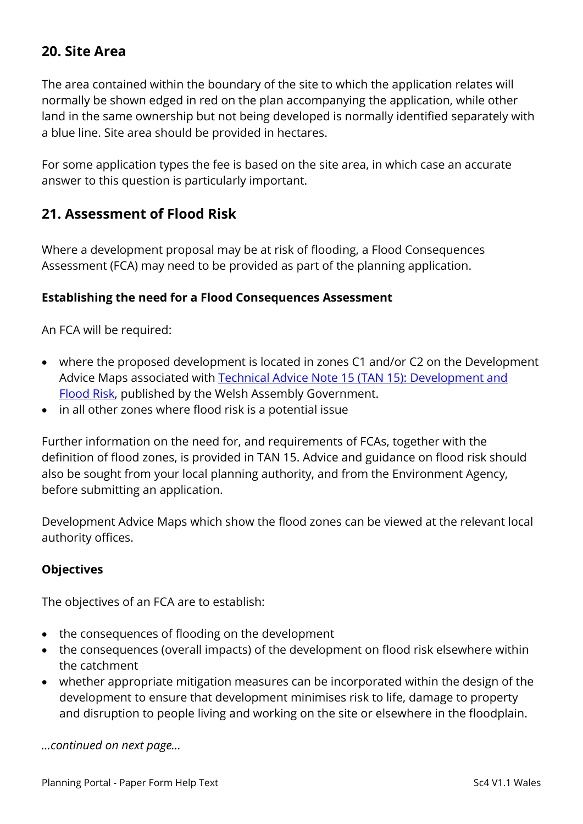### **20. Site Area**

The area contained within the boundary of the site to which the application relates will normally be shown edged in red on the plan accompanying the application, while other land in the same ownership but not being developed is normally identified separately with a blue line. Site area should be provided in hectares.

For some application types the fee is based on the site area, in which case an accurate answer to this question is particularly important.

### **21. Assessment of Flood Risk**

Where a development proposal may be at risk of flooding, a Flood Consequences Assessment (FCA) may need to be provided as part of the planning application.

#### **Establishing the need for a Flood Consequences Assessment**

An FCA will be required:

- where the proposed development is located in zones C1 and/or C2 on the Development Advice Maps associated with [Technical Advice Note 15 \(TAN 15\): Development and](http://gov.wales/topics/planning/policy/tans/tan15/?lang=en)  [Flood Risk,](http://gov.wales/topics/planning/policy/tans/tan15/?lang=en) published by the Welsh Assembly Government.
- in all other zones where flood risk is a potential issue

Further information on the need for, and requirements of FCAs, together with the definition of flood zones, is provided in TAN 15. Advice and guidance on flood risk should also be sought from your local planning authority, and from the Environment Agency, before submitting an application.

Development Advice Maps which show the flood zones can be viewed at the relevant local authority offices.

#### **Objectives**

The objectives of an FCA are to establish:

- the consequences of flooding on the development
- the consequences (overall impacts) of the development on flood risk elsewhere within the catchment
- whether appropriate mitigation measures can be incorporated within the design of the development to ensure that development minimises risk to life, damage to property and disruption to people living and working on the site or elsewhere in the floodplain.

*…continued on next page…*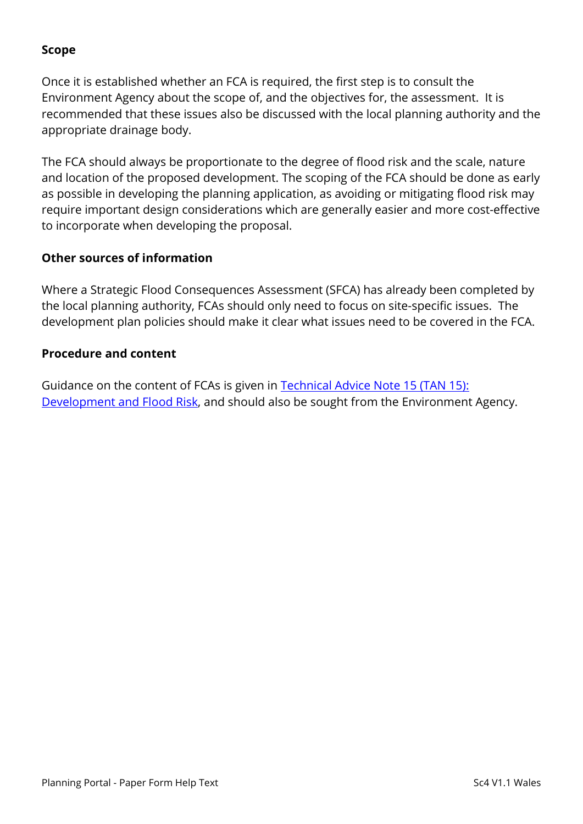#### **Scope**

Once it is established whether an FCA is required, the first step is to consult the Environment Agency about the scope of, and the objectives for, the assessment. It is recommended that these issues also be discussed with the local planning authority and the appropriate drainage body.

The FCA should always be proportionate to the degree of flood risk and the scale, nature and location of the proposed development. The scoping of the FCA should be done as early as possible in developing the planning application, as avoiding or mitigating flood risk may require important design considerations which are generally easier and more cost-effective to incorporate when developing the proposal.

#### **Other sources of information**

Where a Strategic Flood Consequences Assessment (SFCA) has already been completed by the local planning authority, FCAs should only need to focus on site-specific issues. The development plan policies should make it clear what issues need to be covered in the FCA.

#### **Procedure and content**

Guidance on the content of FCAs is given in [Technical Advice Note 15 \(TAN 15\):](http://gov.wales/topics/planning/policy/tans/tan15/?lang=en)  [Development and Flood Risk,](http://gov.wales/topics/planning/policy/tans/tan15/?lang=en) and should also be sought from the Environment Agency.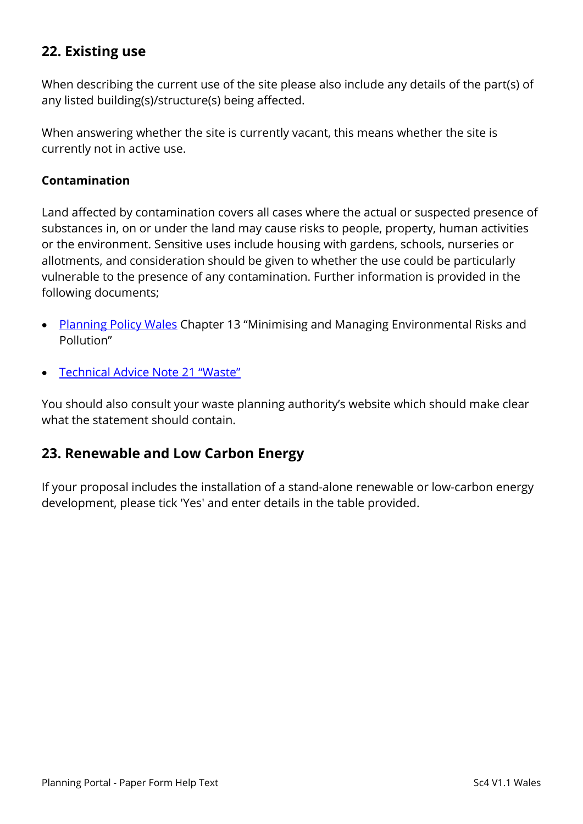# **22. Existing use**

When describing the current use of the site please also include any details of the part(s) of any listed building(s)/structure(s) being affected.

When answering whether the site is currently vacant, this means whether the site is currently not in active use.

#### **Contamination**

Land affected by contamination covers all cases where the actual or suspected presence of substances in, on or under the land may cause risks to people, property, human activities or the environment. Sensitive uses include housing with gardens, schools, nurseries or allotments, and consideration should be given to whether the use could be particularly vulnerable to the presence of any contamination. Further information is provided in the following documents;

- [Planning Policy Wales](http://gov.wales/topics/planning/policy/ppw/?lang=en) Chapter 13 "Minimising and Managing Environmental Risks and Pollution"
- [Technical Advice Note 21 "Waste"](http://gov.wales/topics/planning/policy/tans/tan21/?lang=en)

You should also consult your waste planning authority's website which should make clear what the statement should contain.

#### **23. Renewable and Low Carbon Energy**

If your proposal includes the installation of a stand-alone renewable or low-carbon energy development, please tick 'Yes' and enter details in the table provided.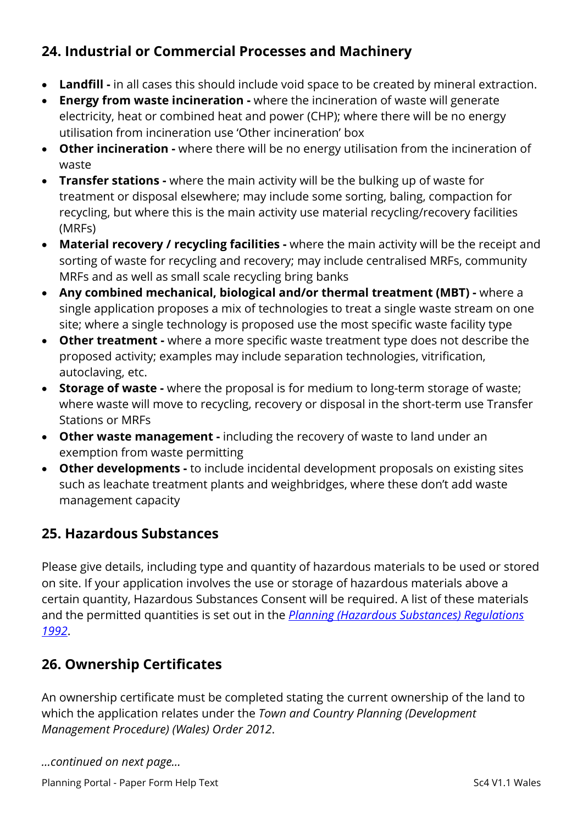# **24. Industrial or Commercial Processes and Machinery**

- **Landfill -** in all cases this should include void space to be created by mineral extraction.
- **Energy from waste incineration -** where the incineration of waste will generate electricity, heat or combined heat and power (CHP); where there will be no energy utilisation from incineration use 'Other incineration' box
- **Other incineration -** where there will be no energy utilisation from the incineration of waste
- **Transfer stations -** where the main activity will be the bulking up of waste for treatment or disposal elsewhere; may include some sorting, baling, compaction for recycling, but where this is the main activity use material recycling/recovery facilities (MRFs)
- **Material recovery / recycling facilities -** where the main activity will be the receipt and sorting of waste for recycling and recovery; may include centralised MRFs, community MRFs and as well as small scale recycling bring banks
- **Any combined mechanical, biological and/or thermal treatment (MBT) -** where a single application proposes a mix of technologies to treat a single waste stream on one site; where a single technology is proposed use the most specific waste facility type
- **Other treatment -** where a more specific waste treatment type does not describe the proposed activity; examples may include separation technologies, vitrification, autoclaving, etc.
- **Storage of waste -** where the proposal is for medium to long-term storage of waste; where waste will move to recycling, recovery or disposal in the short-term use Transfer Stations or MRFs
- **Other waste management -** including the recovery of waste to land under an exemption from waste permitting
- **Other developments -** to include incidental development proposals on existing sites such as leachate treatment plants and weighbridges, where these don't add waste management capacity

# **25. Hazardous Substances**

Please give details, including type and quantity of hazardous materials to be used or stored on site. If your application involves the use or storage of hazardous materials above a certain quantity, Hazardous Substances Consent will be required. A list of these materials and the permitted quantities is set out in the *[Planning \(Hazardous Substances\) Regulations](http://www.legislation.gov.uk/uksi/1992/656/contents/made)  [1992](http://www.legislation.gov.uk/uksi/1992/656/contents/made)*.

# **26. Ownership Certificates**

An ownership certificate must be completed stating the current ownership of the land to which the application relates under the *Town and Country Planning (Development Management Procedure) (Wales) Order 2012*.

*…continued on next page…*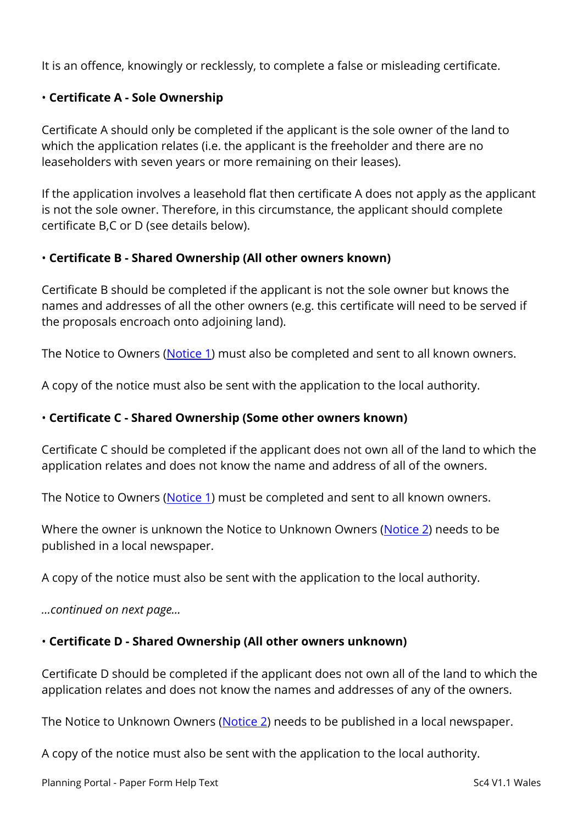It is an offence, knowingly or recklessly, to complete a false or misleading certificate.

#### • **Certificate A - Sole Ownership**

Certificate A should only be completed if the applicant is the sole owner of the land to which the application relates (i.e. the applicant is the freeholder and there are no leaseholders with seven years or more remaining on their leases).

If the application involves a leasehold flat then certificate A does not apply as the applicant is not the sole owner. Therefore, in this circumstance, the applicant should complete certificate B,C or D (see details below).

#### • **Certificate B - Shared Ownership (All other owners known)**

Certificate B should be completed if the applicant is not the sole owner but knows the names and addresses of all the other owners (e.g. this certificate will need to be served if the proposals encroach onto adjoining land).

The Notice to Owners [\(Notice 1\)](https://ecab.planningportal.co.uk/uploads/1app/notices/notice1_wales.pdf) must also be completed and sent to all known owners.

A copy of the notice must also be sent with the application to the local authority.

#### • **Certificate C - Shared Ownership (Some other owners known)**

Certificate C should be completed if the applicant does not own all of the land to which the application relates and does not know the name and address of all of the owners.

The Notice to Owners [\(Notice 1\)](https://ecab.planningportal.co.uk/uploads/1app/notices/notice1_wales.pdf) must be completed and sent to all known owners.

Where the owner is unknown the Notice to Unknown Owners [\(Notice 2\)](https://ecab.planningportal.co.uk/uploads/1app/notices/notice2_wales.pdf) needs to be published in a local newspaper.

A copy of the notice must also be sent with the application to the local authority.

*…continued on next page…*

#### • **Certificate D - Shared Ownership (All other owners unknown)**

Certificate D should be completed if the applicant does not own all of the land to which the application relates and does not know the names and addresses of any of the owners.

The Notice to Unknown Owners [\(Notice 2\)](https://ecab.planningportal.co.uk/uploads/1app/notices/notice2_wales.pdf) needs to be published in a local newspaper.

A copy of the notice must also be sent with the application to the local authority.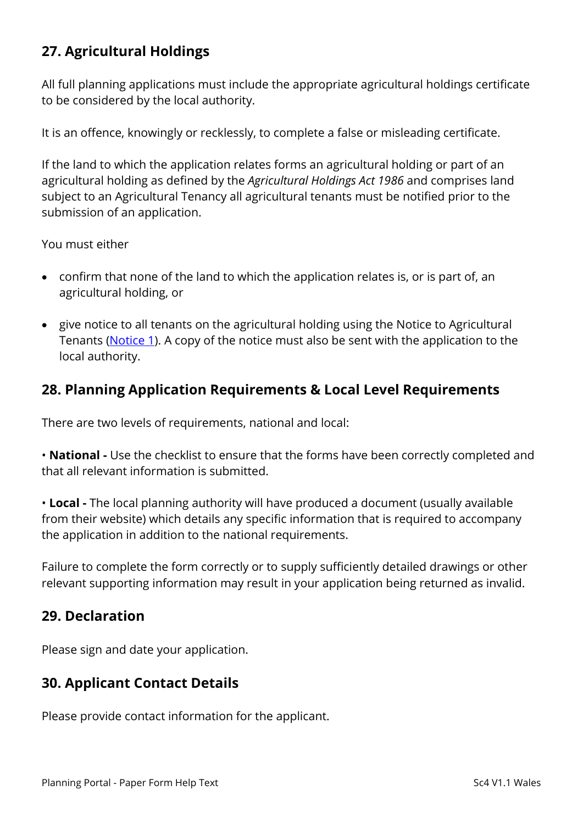# **27. Agricultural Holdings**

All full planning applications must include the appropriate agricultural holdings certificate to be considered by the local authority.

It is an offence, knowingly or recklessly, to complete a false or misleading certificate.

If the land to which the application relates forms an agricultural holding or part of an agricultural holding as defined by the *Agricultural Holdings Act 1986* and comprises land subject to an Agricultural Tenancy all agricultural tenants must be notified prior to the submission of an application.

You must either

- confirm that none of the land to which the application relates is, or is part of, an agricultural holding, or
- give notice to all tenants on the agricultural holding using the Notice to Agricultural Tenants [\(Notice 1\)](https://ecab.planningportal.co.uk/uploads/1app/notices/notice1_wales.pdf). A copy of the notice must also be sent with the application to the local authority.

### **28. Planning Application Requirements & Local Level Requirements**

There are two levels of requirements, national and local:

• **National -** Use the checklist to ensure that the forms have been correctly completed and that all relevant information is submitted.

• **Local -** The local planning authority will have produced a document (usually available from their website) which details any specific information that is required to accompany the application in addition to the national requirements.

Failure to complete the form correctly or to supply sufficiently detailed drawings or other relevant supporting information may result in your application being returned as invalid.

### **29. Declaration**

Please sign and date your application.

# **30. Applicant Contact Details**

Please provide contact information for the applicant.